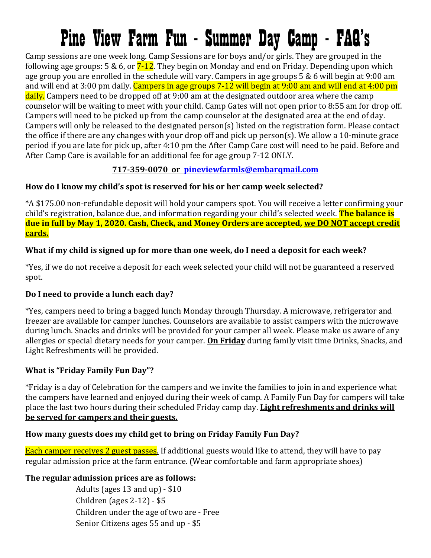# Pine View Farm Fun - Summer Day Camp - FAQ's

Camp sessions are one week long. Camp Sessions are for boys and/or girls. They are grouped in the following age groups: 5 & 6, or  $7-12$ . They begin on Monday and end on Friday. Depending upon which age group you are enrolled in the schedule will vary. Campers in age groups 5 & 6 will begin at 9:00 am and will end at 3:00 pm daily. Campers in age groups 7-12 will begin at 9:00 am and will end at 4:00 pm daily. Campers need to be dropped off at 9:00 am at the designated outdoor area where the camp counselor will be waiting to meet with your child. Camp Gates will not open prior to 8:55 am for drop off. Campers will need to be picked up from the camp counselor at the designated area at the end of day. Campers will only be released to the designated person(s) listed on the registration form. Please contact the office if there are any changes with your drop off and pick up person(s). We allow a 10-minute grace period if you are late for pick up, after 4:10 pm the After Camp Care cost will need to be paid. Before and After Camp Care is available for an additional fee for age group 7-12 ONLY.

# **717-359-0070 or [pineviewfarmls@embarqmail.com](mailto:pineviewfarmls@embarqmail.com)**

## **How do I know my child's spot is reserved for his or her camp week selected?**

\*A \$175.00 non-refundable deposit will hold your campers spot. You will receive a letter confirming your child's registration, balance due, and information regarding your child's selected week. **The balance is due in full by May 1, 2020. Cash, Check, and Money Orders are accepted, we DO NOT accept credit cards.**

# **What if my child is signed up for more than one week, do I need a deposit for each week?**

\*Yes, if we do not receive a deposit for each week selected your child will not be guaranteed a reserved spot.

## **Do I need to provide a lunch each day?**

\*Yes, campers need to bring a bagged lunch Monday through Thursday. A microwave, refrigerator and freezer are available for camper lunches. Counselors are available to assist campers with the microwave during lunch. Snacks and drinks will be provided for your camper all week. Please make us aware of any allergies or special dietary needs for your camper. **On Friday** during family visit time Drinks, Snacks, and Light Refreshments will be provided.

## **What is "Friday Family Fun Day"?**

\*Friday is a day of Celebration for the campers and we invite the families to join in and experience what the campers have learned and enjoyed during their week of camp. A Family Fun Day for campers will take place the last two hours during their scheduled Friday camp day. **Light refreshments and drinks will be served for campers and their guests.** 

## **How many guests does my child get to bring on Friday Family Fun Day?**

Each camper receives 2 guest passes. If additional guests would like to attend, they will have to pay regular admission price at the farm entrance. (Wear comfortable and farm appropriate shoes)

## **The regular admission prices are as follows:**

Adults (ages 13 and up) - \$10 Children (ages 2-12) - \$5 Children under the age of two are - Free Senior Citizens ages 55 and up - \$5